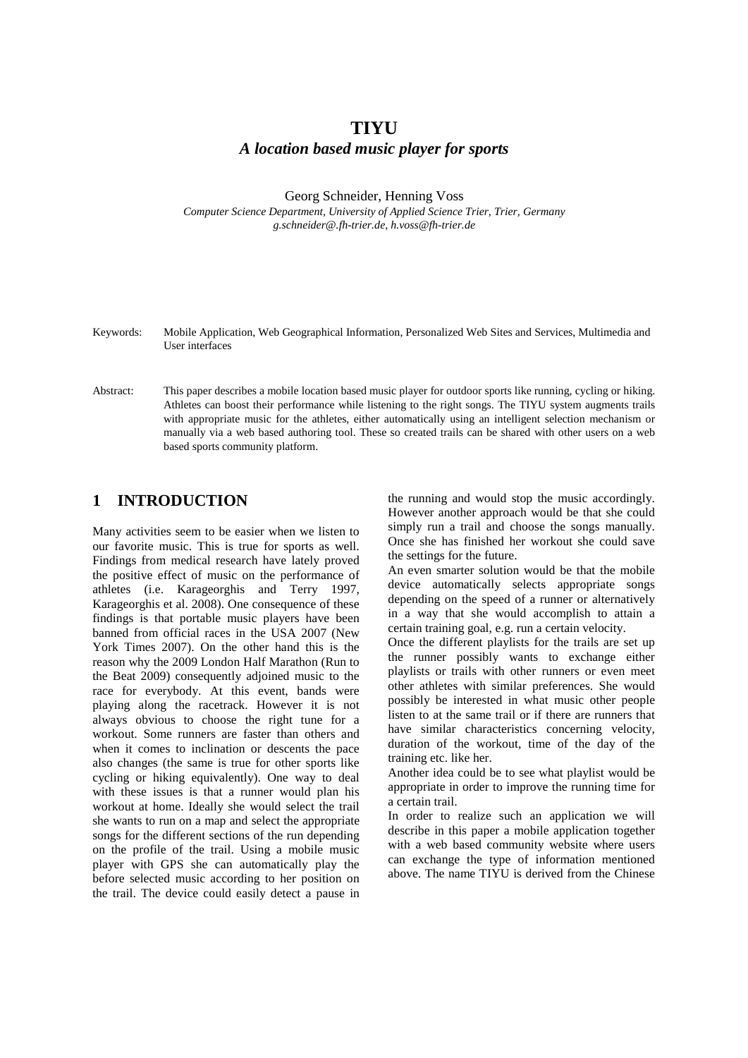# **TIYU** *A location based music player for sports*

Georg Schneider, Henning Voss

*Computer Science Department, University of Applied Science Trier, Trier, Germany g.schneider@.fh-trier.de, h.voss@fh-trier.de*

- Keywords: Mobile Application, Web Geographical Information, Personalized Web Sites and Services, Multimedia and User interfaces
- Abstract: This paper describes a mobile location based music player for outdoor sports like running, cycling or hiking. Athletes can boost their performance while listening to the right songs. The TIYU system augments trails with appropriate music for the athletes, either automatically using an intelligent selection mechanism or manually via a web based authoring tool. These so created trails can be shared with other users on a web based sports community platform.

### **1 INTRODUCTION**

Many activities seem to be easier when we listen to our favorite music. This is true for sports as well. Findings from medical research have lately proved the positive effect of music on the performance of athletes (i.e. Karageorghis and Terry 1997, Karageorghis et al. 2008). One consequence of these findings is that portable music players have been banned from official races in the USA 2007 (New York Times 2007). On the other hand this is the reason why the 2009 London Half Marathon (Run to the Beat 2009) consequently adjoined music to the race for everybody. At this event, bands were playing along the racetrack. However it is not always obvious to choose the right tune for a workout. Some runners are faster than others and when it comes to inclination or descents the pace also changes (the same is true for other sports like cycling or hiking equivalently). One way to deal with these issues is that a runner would plan his workout at home. Ideally she would select the trail she wants to run on a map and select the appropriate songs for the different sections of the run depending on the profile of the trail. Using a mobile music player with GPS she can automatically play the before selected music according to her position on the trail. The device could easily detect a pause in

the running and would stop the music accordingly. However another approach would be that she could simply run a trail and choose the songs manually. Once she has finished her workout she could save the settings for the future.

An even smarter solution would be that the mobile device automatically selects appropriate songs depending on the speed of a runner or alternatively in a way that she would accomplish to attain a certain training goal, e.g. run a certain velocity.

Once the different playlists for the trails are set up the runner possibly wants to exchange either playlists or trails with other runners or even meet other athletes with similar preferences. She would possibly be interested in what music other people listen to at the same trail or if there are runners that have similar characteristics concerning velocity, duration of the workout, time of the day of the training etc. like her.

Another idea could be to see what playlist would be appropriate in order to improve the running time for a certain trail.

In order to realize such an application we will describe in this paper a mobile application together with a web based community website where users can exchange the type of information mentioned above. The name TIYU is derived from the Chinese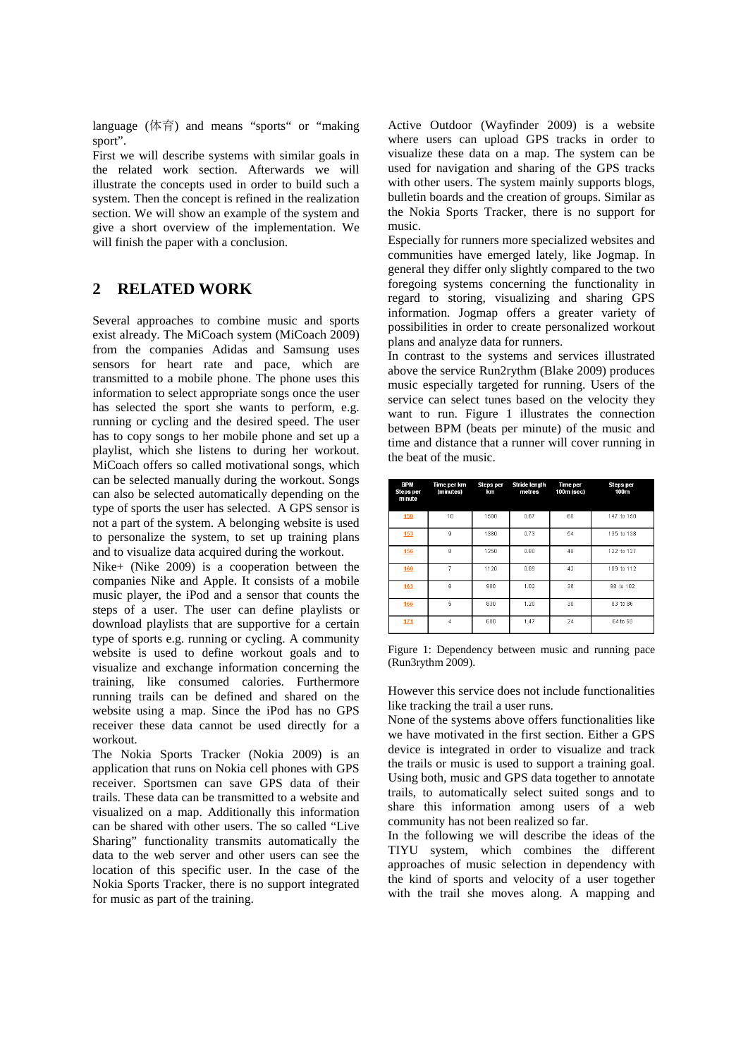language (体育) and means "sports" or "making sport".

First we will describe systems with similar goals in the related work section. Afterwards we will illustrate the concepts used in order to build such a system. Then the concept is refined in the realization section. We will show an example of the system and give a short overview of the implementation. We will finish the paper with a conclusion.

## **2 RELATED WORK**

Several approaches to combine music and sports exist already. The MiCoach system (MiCoach 2009) from the companies Adidas and Samsung uses sensors for heart rate and pace, which are transmitted to a mobile phone. The phone uses this information to select appropriate songs once the user has selected the sport she wants to perform, e.g. running or cycling and the desired speed. The user has to copy songs to her mobile phone and set up a playlist, which she listens to during her workout. MiCoach offers so called motivational songs, which can be selected manually during the workout. Songs can also be selected automatically depending on the type of sports the user has selected. A GPS sensor is not a part of the system. A belonging website is used to personalize the system, to set up training plans and to visualize data acquired during the workout.

Nike+ (Nike 2009) is a cooperation between the companies Nike and Apple. It consists of a mobile music player, the iPod and a sensor that counts the steps of a user. The user can define playlists or download playlists that are supportive for a certain type of sports e.g. running or cycling. A community website is used to define workout goals and to visualize and exchange information concerning the training, like consumed calories. Furthermore running trails can be defined and shared on the website using a map. Since the iPod has no GPS receiver these data cannot be used directly for a workout.

The Nokia Sports Tracker (Nokia 2009) is an application that runs on Nokia cell phones with GPS receiver. Sportsmen can save GPS data of their trails. These data can be transmitted to a website and visualized on a map. Additionally this information can be shared with other users. The so called "Live Sharing" functionality transmits automatically the data to the web server and other users can see the location of this specific user. In the case of the Nokia Sports Tracker, there is no support integrated for music as part of the training.

Active Outdoor (Wayfinder 2009) is a website where users can upload GPS tracks in order to visualize these data on a map. The system can be used for navigation and sharing of the GPS tracks with other users. The system mainly supports blogs, bulletin boards and the creation of groups. Similar as the Nokia Sports Tracker, there is no support for music.

Especially for runners more specialized websites and communities have emerged lately, like Jogmap. In general they differ only slightly compared to the two foregoing systems concerning the functionality in regard to storing, visualizing and sharing GPS information. Jogmap offers a greater variety of possibilities in order to create personalized workout plans and analyze data for runners.

In contrast to the systems and services illustrated above the service Run2rythm (Blake 2009) produces music especially targeted for running. Users of the service can select tunes based on the velocity they want to run. Figure 1 illustrates the connection between BPM (beats per minute) of the music and time and distance that a runner will cover running in the beat of the music.

| BPM<br><b>Steps per</b><br>minute | Time per km<br>(minutes) | Steps per<br>km | <b>Stride length</b><br>metres | <b>Time per</b><br>100m (sec) | <b>Steps per</b><br>100m |
|-----------------------------------|--------------------------|-----------------|--------------------------------|-------------------------------|--------------------------|
| 150                               | 10                       | 1500            | 0.67                           | 60                            | 147 to 150               |
| 153                               | $\mathfrak{g}$           | 1380            | 0.73                           | 54                            | 135 to 138               |
| 156                               | 8                        | 1250            | 0.80                           | 48                            | 122 to 127               |
| 160                               | 7                        | 1120            | 0.89                           | 42                            | 109 to 112               |
| 163                               | 6                        | 980             | 1.02                           | 36                            | 98 to 102                |
| 166                               | 5                        | 830             | 1.20                           | 30                            | 83 to 86                 |
| 171                               | $\Delta$                 | 680             | 1.47                           | 24                            | 64 to 68                 |

Figure 1: Dependency between music and running pace (Run3rythm 2009).

However this service does not include functionalities like tracking the trail a user runs.

None of the systems above offers functionalities like we have motivated in the first section. Either a GPS device is integrated in order to visualize and track the trails or music is used to support a training goal. Using both, music and GPS data together to annotate trails, to automatically select suited songs and to share this information among users of a web community has not been realized so far.

In the following we will describe the ideas of the TIYU system, which combines the different approaches of music selection in dependency with the kind of sports and velocity of a user together with the trail she moves along. A mapping and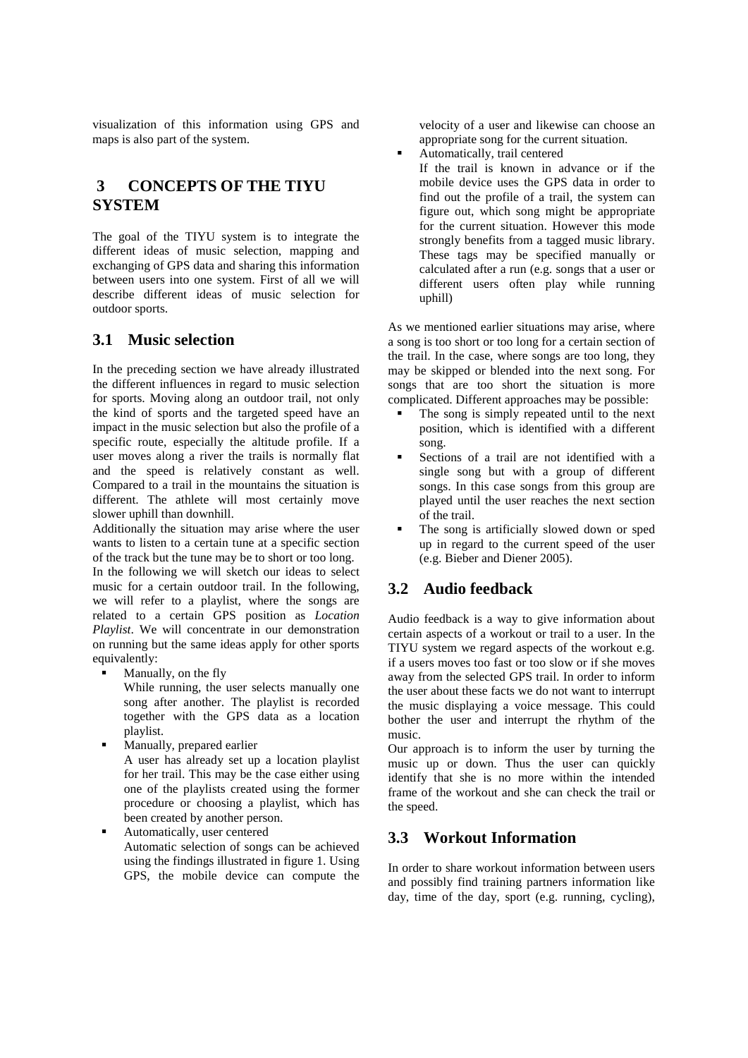visualization of this information using GPS and maps is also part of the system.

# **3 CONCEPTS OF THE TIYU SYSTEM**

The goal of the TIYU system is to integrate the different ideas of music selection, mapping and exchanging of GPS data and sharing this information between users into one system. First of all we will describe different ideas of music selection for outdoor sports.

### **3.1 Music selection**

In the preceding section we have already illustrated the different influences in regard to music selection for sports. Moving along an outdoor trail, not only the kind of sports and the targeted speed have an impact in the music selection but also the profile of a specific route, especially the altitude profile. If a user moves along a river the trails is normally flat and the speed is relatively constant as well. Compared to a trail in the mountains the situation is different. The athlete will most certainly move slower uphill than downhill.

Additionally the situation may arise where the user wants to listen to a certain tune at a specific section of the track but the tune may be to short or too long.

In the following we will sketch our ideas to select music for a certain outdoor trail. In the following, we will refer to a playlist, where the songs are related to a certain GPS position as *Location Playlist*. We will concentrate in our demonstration on running but the same ideas apply for other sports equivalently:

**Manually, on the fly** 

While running, the user selects manually one song after another. The playlist is recorded together with the GPS data as a location playlist.

- Manually, prepared earlier A user has already set up a location playlist for her trail. This may be the case either using one of the playlists created using the former procedure or choosing a playlist, which has been created by another person.
- Automatically, user centered Automatic selection of songs can be achieved using the findings illustrated in figure 1. Using GPS, the mobile device can compute the

velocity of a user and likewise can choose an appropriate song for the current situation.

 Automatically, trail centered If the trail is known in advance or if the mobile device uses the GPS data in order to find out the profile of a trail, the system can figure out, which song might be appropriate for the current situation. However this mode strongly benefits from a tagged music library. These tags may be specified manually or calculated after a run (e.g. songs that a user or different users often play while running uphill)

As we mentioned earlier situations may arise, where a song is too short or too long for a certain section of the trail. In the case, where songs are too long, they may be skipped or blended into the next song. For songs that are too short the situation is more complicated. Different approaches may be possible:

- The song is simply repeated until to the next position, which is identified with a different song.
- Sections of a trail are not identified with a single song but with a group of different songs. In this case songs from this group are played until the user reaches the next section of the trail.
- The song is artificially slowed down or sped up in regard to the current speed of the user (e.g. Bieber and Diener 2005).

### **3.2 Audio feedback**

Audio feedback is a way to give information about certain aspects of a workout or trail to a user. In the TIYU system we regard aspects of the workout e.g. if a users moves too fast or too slow or if she moves away from the selected GPS trail. In order to inform the user about these facts we do not want to interrupt the music displaying a voice message. This could bother the user and interrupt the rhythm of the music.

Our approach is to inform the user by turning the music up or down. Thus the user can quickly identify that she is no more within the intended frame of the workout and she can check the trail or the speed.

### **3.3 Workout Information**

In order to share workout information between users and possibly find training partners information like day, time of the day, sport (e.g. running, cycling),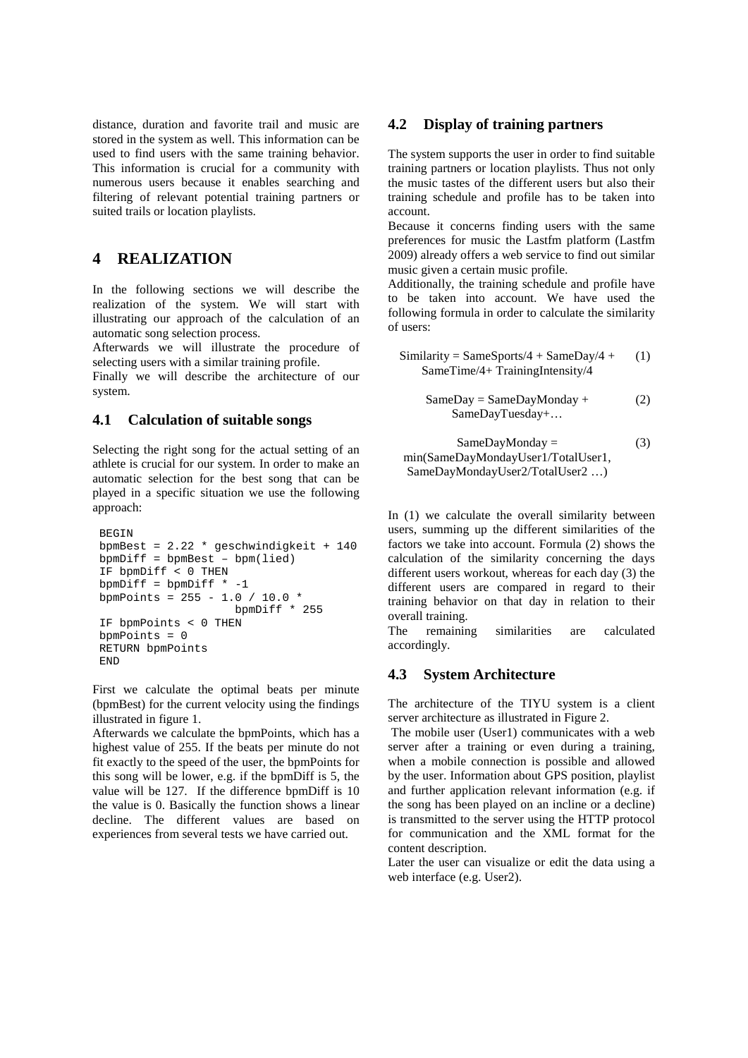distance, duration and favorite trail and music are stored in the system as well. This information can be used to find users with the same training behavior. This information is crucial for a community with numerous users because it enables searching and filtering of relevant potential training partners or suited trails or location playlists.

## **4 REALIZATION**

In the following sections we will describe the realization of the system. We will start with illustrating our approach of the calculation of an automatic song selection process.

Afterwards we will illustrate the procedure of selecting users with a similar training profile.

Finally we will describe the architecture of our system.

#### **4.1 Calculation of suitable songs**

Selecting the right song for the actual setting of an athlete is crucial for our system. In order to make an automatic selection for the best song that can be played in a specific situation we use the following approach:

```
BEGIN
bpmBest = 2.22 * geschwindigkeit + 140
bpmDiff = bpmBest - bpm(lied)IF bpmDiff < 0 THEN
bpmDiff = bpmDiff * -1
bpmPoints = 255 - 1.0 / 10.0 * 
                    bpmDiff * 255
IF bpmPoints < 0 THEN
bpmPoints = 0
RETURN bpmPoints
END
```
First we calculate the optimal beats per minute (bpmBest) for the current velocity using the findings illustrated in figure 1.

Afterwards we calculate the bpmPoints, which has a highest value of 255. If the beats per minute do not fit exactly to the speed of the user, the bpmPoints for this song will be lower, e.g. if the bpmDiff is 5, the value will be 127. If the difference bpmDiff is 10 the value is 0. Basically the function shows a linear decline. The different values are based on experiences from several tests we have carried out.

#### **4.2 Display of training partners**

The system supports the user in order to find suitable training partners or location playlists. Thus not only the music tastes of the different users but also their training schedule and profile has to be taken into account.

Because it concerns finding users with the same preferences for music the Lastfm platform (Lastfm 2009) already offers a web service to find out similar music given a certain music profile.

Additionally, the training schedule and profile have to be taken into account. We have used the following formula in order to calculate the similarity of users:

Similarity = SameSports/4 + SameDay/4 + 
$$
(1)
$$

\nSameTime/4 + TrainingIntensity/4

$$
SameDay = SameDay Monday + \qquad (2)
$$

$$
SameDay Tuesday + \dots
$$

SameDayMonday = min(SameDayMondayUser1/TotalUser1, SameDayMondayUser2/TotalUser2 …) (3)

In (1) we calculate the overall similarity between users, summing up the different similarities of the factors we take into account. Formula (2) shows the calculation of the similarity concerning the days different users workout, whereas for each day (3) the different users are compared in regard to their training behavior on that day in relation to their overall training.

The remaining similarities are calculated accordingly.

#### **4.3 System Architecture**

The architecture of the TIYU system is a client server architecture as illustrated in Figure 2.

The mobile user (User1) communicates with a web server after a training or even during a training, when a mobile connection is possible and allowed by the user. Information about GPS position, playlist and further application relevant information (e.g. if the song has been played on an incline or a decline) is transmitted to the server using the HTTP protocol for communication and the XML format for the content description.

Later the user can visualize or edit the data using a web interface (e.g. User2).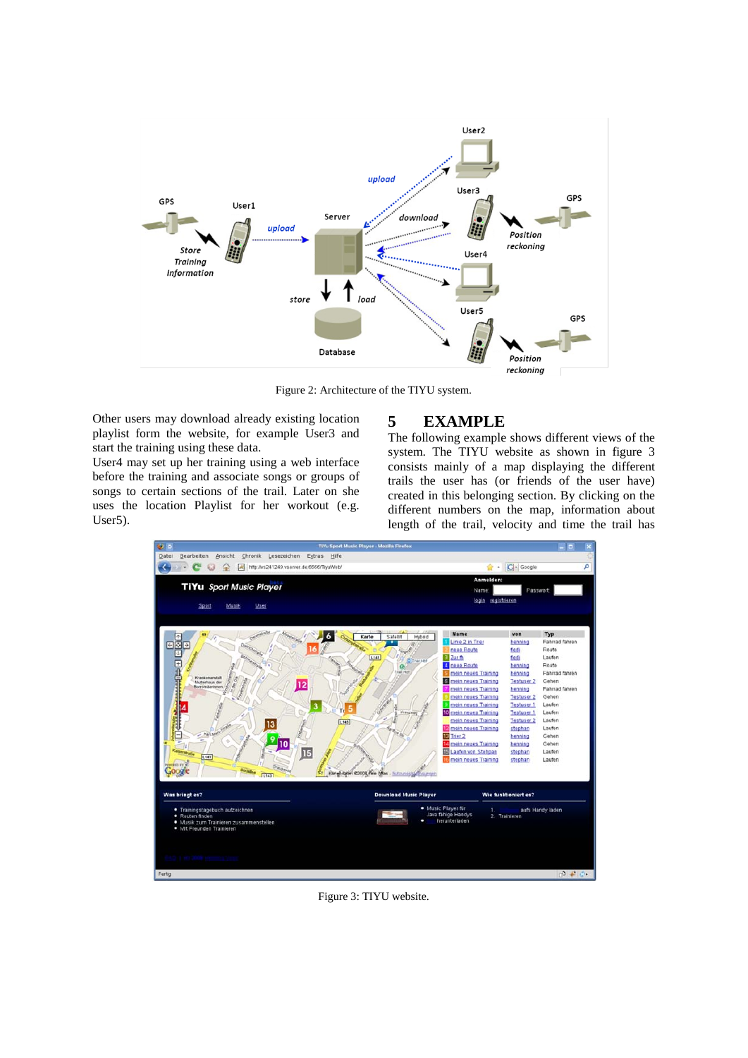

Figure 2: Architecture of the TIYU system.

Other users may download already existing location playlist form the website, for example User3 and start the training using these data.

User4 may set up her training using a web interface before the training and associate songs or groups of songs to certain sections of the trail. Later on she uses the location Playlist for her workout (e.g. User5).

### **5 EXAMPLE**

The following example shows different views of the system. The TIYU website as shown in figure 3 consists mainly of a map displaying the different trails the user has (or friends of the user have) created in this belonging section. By clicking on the different numbers on the map, information about length of the trail, velocity and time the trail has



Figure 3: TIYU website.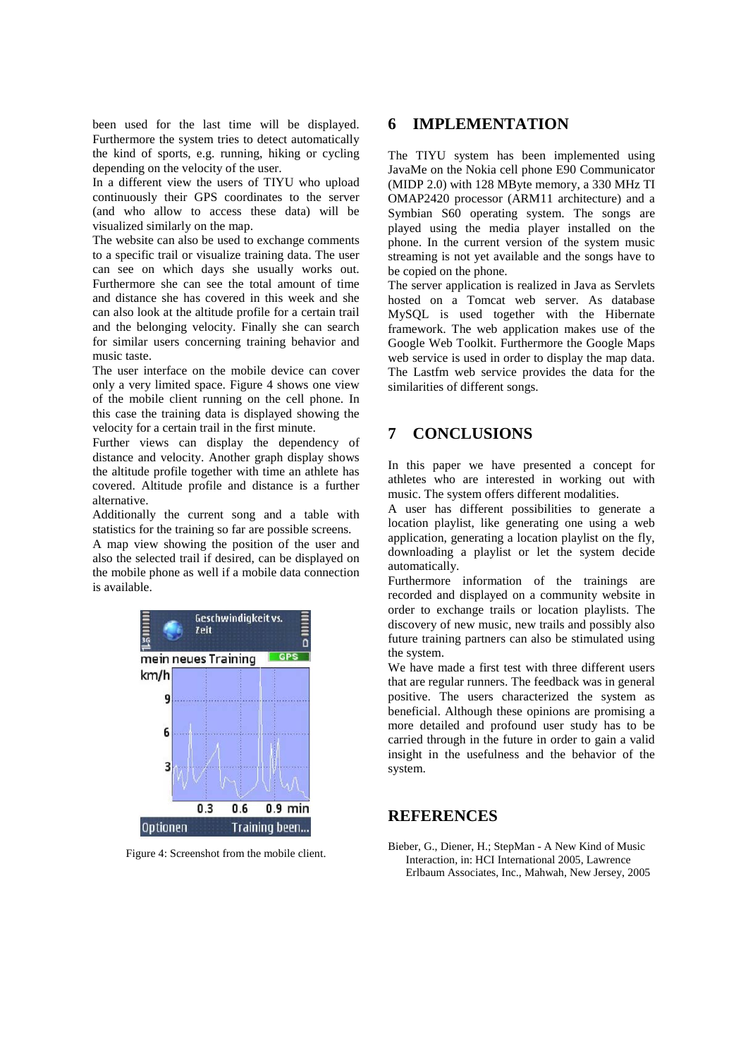been used for the last time will be displayed. Furthermore the system tries to detect automatically the kind of sports, e.g. running, hiking or cycling depending on the velocity of the user.

In a different view the users of TIYU who upload continuously their GPS coordinates to the server (and who allow to access these data) will be visualized similarly on the map.

The website can also be used to exchange comments to a specific trail or visualize training data. The user can see on which days she usually works out. Furthermore she can see the total amount of time and distance she has covered in this week and she can also look at the altitude profile for a certain trail and the belonging velocity. Finally she can search for similar users concerning training behavior and music taste.

The user interface on the mobile device can cover only a very limited space. Figure 4 shows one view of the mobile client running on the cell phone. In this case the training data is displayed showing the velocity for a certain trail in the first minute.

Further views can display the dependency of distance and velocity. Another graph display shows the altitude profile together with time an athlete has covered. Altitude profile and distance is a further alternative.

Additionally the current song and a table with statistics for the training so far are possible screens.

A map view showing the position of the user and also the selected trail if desired, can be displayed on the mobile phone as well if a mobile data connection is available.



Figure 4: Screenshot from the mobile client.

### **6 IMPLEMENTATION**

The TIYU system has been implemented using JavaMe on the Nokia cell phone E90 Communicator (MIDP 2.0) with 128 MByte memory, a 330 MHz TI OMAP2420 processor (ARM11 architecture) and a Symbian S60 operating system. The songs are played using the media player installed on the phone. In the current version of the system music streaming is not yet available and the songs have to be copied on the phone.

The server application is realized in Java as Servlets hosted on a Tomcat web server. As database MySQL is used together with the Hibernate framework. The web application makes use of the Google Web Toolkit. Furthermore the Google Maps web service is used in order to display the map data. The Lastfm web service provides the data for the similarities of different songs.

# **7 CONCLUSIONS**

In this paper we have presented a concept for athletes who are interested in working out with music. The system offers different modalities.

A user has different possibilities to generate a location playlist, like generating one using a web application, generating a location playlist on the fly, downloading a playlist or let the system decide automatically.

Furthermore information of the trainings are recorded and displayed on a community website in order to exchange trails or location playlists. The discovery of new music, new trails and possibly also future training partners can also be stimulated using the system.

We have made a first test with three different users that are regular runners. The feedback was in general positive. The users characterized the system as beneficial. Although these opinions are promising a more detailed and profound user study has to be carried through in the future in order to gain a valid insight in the usefulness and the behavior of the system.

#### **REFERENCES**

Bieber, G., Diener, H.; StepMan - A New Kind of Music Interaction, in: HCI International 2005, Lawrence Erlbaum Associates, Inc., Mahwah, New Jersey, 2005